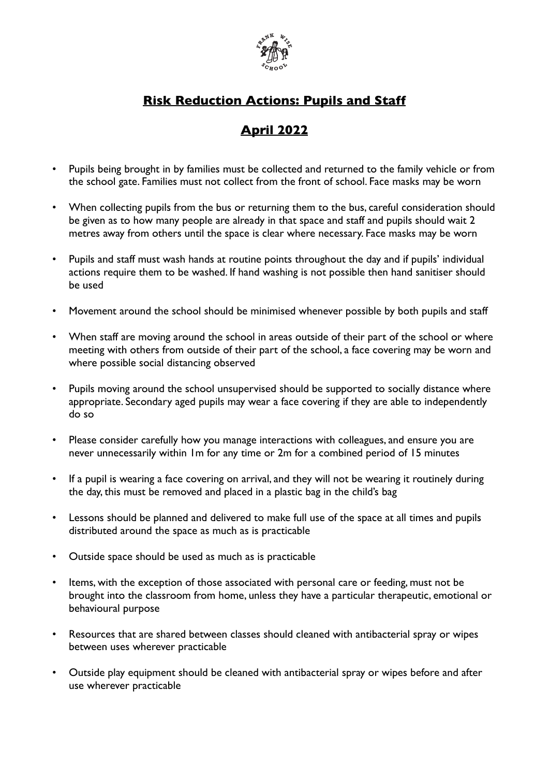

## **Risk Reduction Actions: Pupils and Staff**

## **April 2022**

- Pupils being brought in by families must be collected and returned to the family vehicle or from the school gate. Families must not collect from the front of school. Face masks may be worn
- When collecting pupils from the bus or returning them to the bus, careful consideration should be given as to how many people are already in that space and staff and pupils should wait 2 metres away from others until the space is clear where necessary. Face masks may be worn
- Pupils and staff must wash hands at routine points throughout the day and if pupils' individual actions require them to be washed. If hand washing is not possible then hand sanitiser should be used
- Movement around the school should be minimised whenever possible by both pupils and staff
- When staff are moving around the school in areas outside of their part of the school or where meeting with others from outside of their part of the school, a face covering may be worn and where possible social distancing observed
- Pupils moving around the school unsupervised should be supported to socially distance where appropriate. Secondary aged pupils may wear a face covering if they are able to independently do so
- Please consider carefully how you manage interactions with colleagues, and ensure you are never unnecessarily within 1m for any time or 2m for a combined period of 15 minutes
- If a pupil is wearing a face covering on arrival, and they will not be wearing it routinely during the day, this must be removed and placed in a plastic bag in the child's bag
- Lessons should be planned and delivered to make full use of the space at all times and pupils distributed around the space as much as is practicable
- Outside space should be used as much as is practicable
- Items, with the exception of those associated with personal care or feeding, must not be brought into the classroom from home, unless they have a particular therapeutic, emotional or behavioural purpose
- Resources that are shared between classes should cleaned with antibacterial spray or wipes between uses wherever practicable
- Outside play equipment should be cleaned with antibacterial spray or wipes before and after use wherever practicable